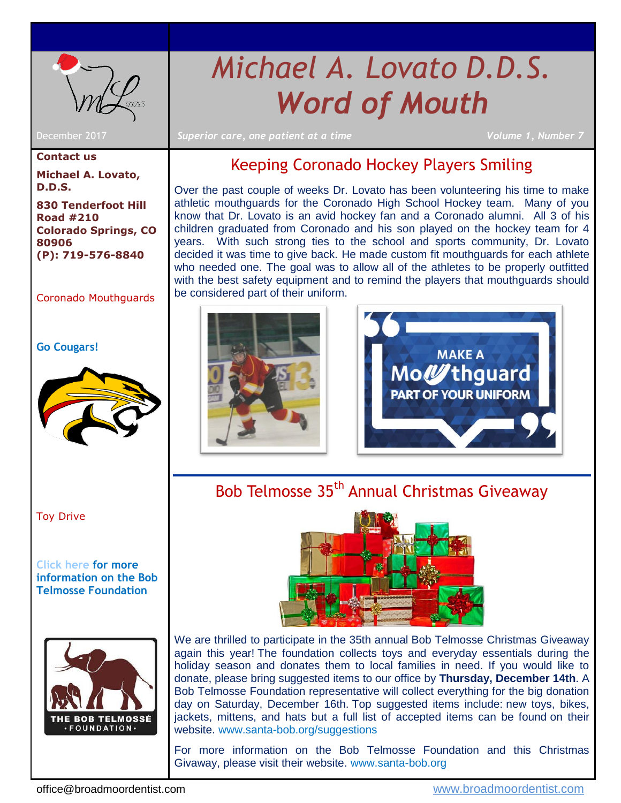

# *Michael A. Lovato D.D.S. Word of Mouth*

**Contact us Michael A. Lovato, D.D.S.**

**830 Tenderfoot Hill Road #210 Colorado Springs, CO 80906 (P): 719-576-8840**

### [Coronado Mouthguards](#page-0-0)

#### **Go Cougars!**



[Toy Drive](#page-0-1)

**[Click here](http://www.santa-bob.org/meet-bob-telmosse/) for more information on the Bob Telmosse Foundation**



December 2017 *Superior care, one patient at a time Volume 1, Number 7*

### Keeping Coronado Hockey Players Smiling

<span id="page-0-0"></span>Over the past couple of weeks Dr. Lovato has been volunteering his time to make athletic mouthguards for the Coronado High School Hockey team. Many of you know that Dr. Lovato is an avid hockey fan and a Coronado alumni. All 3 of his children graduated from Coronado and his son played on the hockey team for 4 years. With such strong ties to the school and sports community, Dr. Lovato decided it was time to give back. He made custom fit mouthguards for each athlete who needed one. The goal was to allow all of the athletes to be properly outfitted with the best safety equipment and to remind the players that mouthguards should be considered part of their uniform.





<span id="page-0-1"></span>Bob Telmosse 35<sup>th</sup> Annual Christmas Giveaway



We are thrilled to participate in the 35th annual Bob Telmosse Christmas Giveaway again this year! The foundation collects toys and everyday essentials during the holiday season and donates them to local families in need. If you would like to donate, please bring suggested items to our office by **Thursday, December 14th**. A Bob Telmosse Foundation representative will collect everything for the big donation day on Saturday, December 16th. Top suggested items include: new toys, bikes, jackets, mittens, and hats but a full list of accepted items can be found on their website. [www.santa-bob.org/suggestions](http://www.santa-bob.org/suggestions/)

For more information on the Bob Telmosse Foundation and this Christmas Givaway, please visit their website. [www.santa-bob.org](http://www.santa-bob.org/)